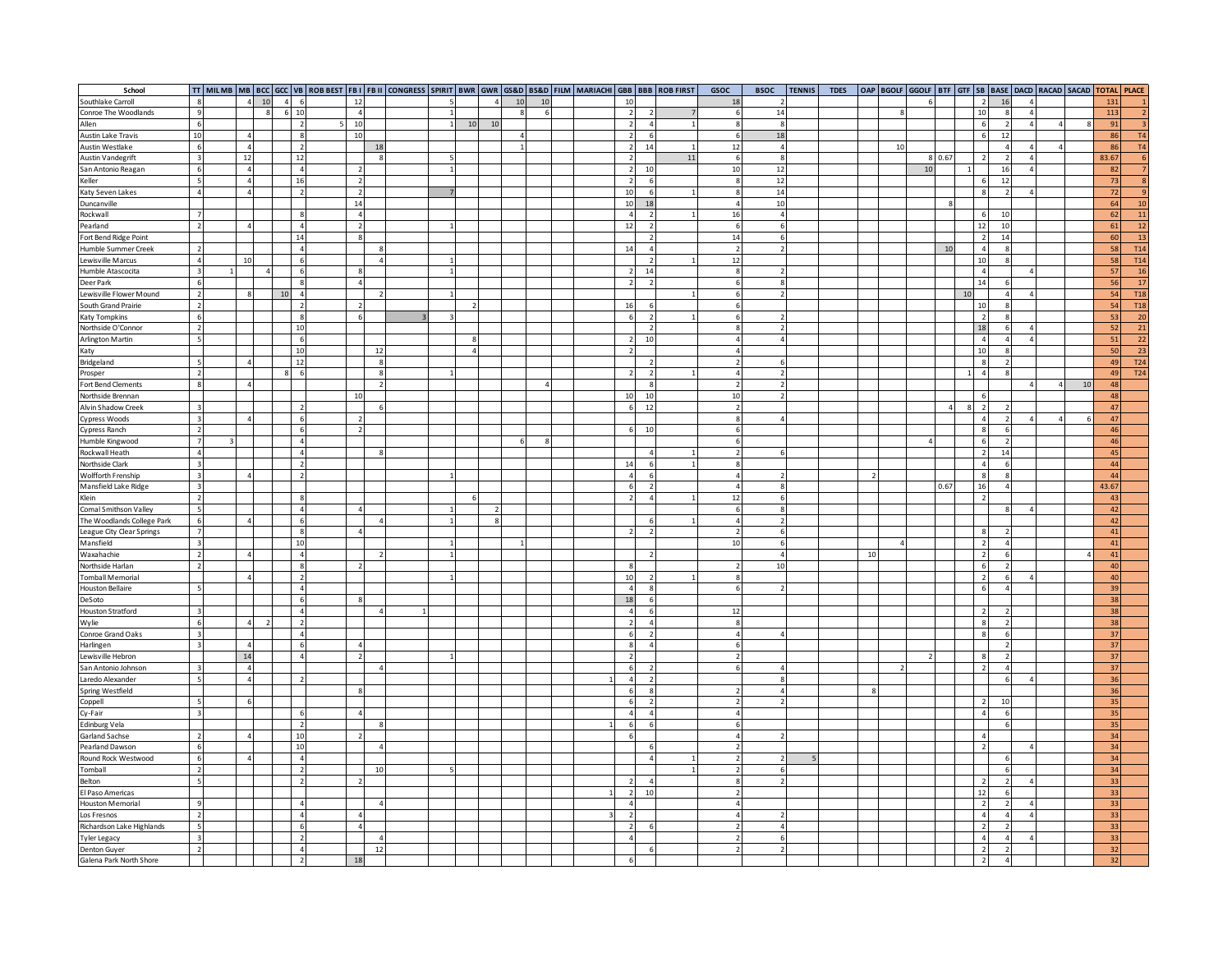| School                                  |                          |                |                         |                          |    |                          |                        |                |    |          |              |           |  |                          |                          | TT   MILMB   MB   BCC   GCC   VB   ROB BEST   FB I   FB II   CONGRESS   SPIRIT   BWR   GVR   GS&D   BS&D   FILM   MARIACHI   GBB   BBB   ROB FIRST | GSOC                     | <b>BSOC</b>             | <b>TENNIS</b> | <b>TDES</b> |    |    |    |        |    |                          |                    | OAP   BGOLF   GGOLF   BTF   GTF   SB   BASE   DACD   RACAD   SACAD   TOTAL   PLACE |    |                 |                 |
|-----------------------------------------|--------------------------|----------------|-------------------------|--------------------------|----|--------------------------|------------------------|----------------|----|----------|--------------|-----------|--|--------------------------|--------------------------|----------------------------------------------------------------------------------------------------------------------------------------------------|--------------------------|-------------------------|---------------|-------------|----|----|----|--------|----|--------------------------|--------------------|------------------------------------------------------------------------------------|----|-----------------|-----------------|
| Southlake Carroll                       | 8                        | 4 10           |                         | $\Delta$                 | 12 |                          |                        |                |    |          | 10           | 10        |  | 10                       |                          |                                                                                                                                                    | 18                       |                         |               |             |    |    |    |        |    | $\overline{2}$           | 16                 |                                                                                    |    | 131             |                 |
| Conroe The Woodlands                    | $\overline{q}$           |                | $\overline{\mathbf{g}}$ | 6<br>10                  |    | $\overline{4}$           |                        |                |    |          | $\mathbf{R}$ | f.        |  | $\overline{2}$           | $\mathcal{L}$            |                                                                                                                                                    | -6                       | 14                      |               |             |    |    |    |        |    | 10                       | $\mathbf{R}$       |                                                                                    |    | 113             |                 |
| Allen                                   | -6                       |                |                         | $\overline{2}$           | 10 |                          |                        | $\overline{1}$ | 10 | 10       |              |           |  | $\overline{2}$           | $\overline{4}$           |                                                                                                                                                    |                          | 8                       |               |             |    |    |    |        |    | 6                        |                    | $\overline{4}$                                                                     |    | 91              |                 |
| <b>Austin Lake Travis</b>               | 10                       |                |                         | -8                       | 10 |                          |                        |                |    |          | 4            |           |  | 2                        | 6                        |                                                                                                                                                    | 6                        | 18                      |               |             |    |    |    |        |    | 6                        | 12                 |                                                                                    |    | 86              | T4              |
| Austin Westlake                         | 6                        | $\overline{a}$ |                         | $\overline{\phantom{a}}$ |    |                          | 18                     |                |    |          | $\mathbf{1}$ |           |  | $\overline{2}$           | 14                       |                                                                                                                                                    | 12                       | $\overline{4}$          |               |             |    | 10 |    |        |    |                          | $\Delta$           |                                                                                    |    | 86              | T4              |
|                                         | $\overline{\mathbf{3}}$  |                |                         |                          |    |                          | $\mathbf{\mathcal{R}}$ |                |    |          |              |           |  |                          |                          | 11                                                                                                                                                 |                          | 8                       |               |             |    |    |    | 8 0.67 |    | $\mathcal{L}$            | $\overline{2}$     |                                                                                    |    |                 | 6               |
| <b>Austin Vandegrift</b>                |                          | 12             |                         | 12                       |    |                          |                        |                |    |          |              |           |  |                          |                          |                                                                                                                                                    | 6                        |                         |               |             |    |    |    |        |    |                          |                    |                                                                                    |    | 83.67           |                 |
| San Antonio Reagan                      | 6                        | $\overline{4}$ |                         | $\overline{4}$           |    | $\overline{\phantom{a}}$ |                        |                |    |          |              |           |  | $\mathfrak{p}$           | 10                       |                                                                                                                                                    | 10                       | 12                      |               |             |    |    | 10 |        |    |                          | 16                 |                                                                                    |    | 82              |                 |
| Keller                                  | $\overline{5}$           | $\Delta$       |                         | 16                       |    | $\overline{2}$           |                        |                |    |          |              |           |  | $\overline{\phantom{a}}$ | 6                        |                                                                                                                                                    |                          | 12                      |               |             |    |    |    |        |    | 6                        | 12                 |                                                                                    |    | 73              | $\mathbf{R}$    |
| Katy Seven Lakes                        | $\overline{A}$           |                |                         | $\overline{\phantom{a}}$ |    | $\overline{2}$           |                        |                |    |          |              |           |  | 10                       | 6                        |                                                                                                                                                    |                          | 14                      |               |             |    |    |    |        |    | $\mathbf{8}$             |                    |                                                                                    |    | 72              |                 |
| Duncanville                             |                          |                |                         |                          | 14 |                          |                        |                |    |          |              |           |  | 10                       | 18                       |                                                                                                                                                    |                          | 10                      |               |             |    |    |    |        |    |                          |                    |                                                                                    |    | 64              | 10              |
| Rockwall                                | $\overline{7}$           |                |                         |                          |    | $\overline{4}$           |                        |                |    |          |              |           |  | $\overline{4}$           | $\overline{2}$           |                                                                                                                                                    | 16                       | $\overline{4}$          |               |             |    |    |    |        |    | 6                        | 10                 |                                                                                    |    | 62              | 11              |
| Pearland                                | $\overline{2}$           | $\Delta$       |                         | $\overline{4}$           |    | $\overline{2}$           |                        |                |    |          |              |           |  | 12                       | $\overline{2}$           |                                                                                                                                                    | 6                        | 6                       |               |             |    |    |    |        |    | 12                       | 10                 |                                                                                    |    | 61              | 12              |
| Fort Bend Ridge Point                   |                          |                |                         | 14                       |    | $\mathbf{\mathcal{R}}$   |                        |                |    |          |              |           |  |                          | 2                        |                                                                                                                                                    | 14                       | 6                       |               |             |    |    |    |        |    | $\overline{2}$           | 14                 |                                                                                    |    | 60              | 13              |
| Humble Summer Creek                     | $\overline{2}$           |                |                         | $\overline{4}$           |    |                          | $\mathbf{\mathcal{R}}$ |                |    |          |              |           |  | 14                       | $\overline{4}$           |                                                                                                                                                    | $\overline{\phantom{a}}$ | $\mathcal{P}$           |               |             |    |    |    | 10     |    | $\overline{4}$           | $\mathbf{R}$       |                                                                                    |    | 58              | <b>T14</b>      |
| Lewisville Marcus                       | $\overline{a}$           | 10             |                         |                          |    |                          |                        |                |    |          |              |           |  |                          | $\overline{2}$           |                                                                                                                                                    | 12                       |                         |               |             |    |    |    |        |    | 10                       | 8                  |                                                                                    |    | 58              | <b>T14</b>      |
|                                         |                          |                |                         |                          |    |                          |                        | $\mathbf{1}$   |    |          |              |           |  |                          |                          |                                                                                                                                                    | $\boldsymbol{8}$         |                         |               |             |    |    |    |        |    | $\overline{4}$           |                    |                                                                                    |    |                 |                 |
| Humble Atascocita                       | $\overline{\mathbf{3}}$  |                | $\overline{4}$          |                          |    |                          |                        |                |    |          |              |           |  | $\mathcal{L}$            | 14                       |                                                                                                                                                    |                          |                         |               |             |    |    |    |        |    |                          |                    |                                                                                    |    | 57              | <b>16</b>       |
| Deer Park                               | - 6                      |                |                         |                          |    | $\Delta$                 |                        |                |    |          |              |           |  | $\mathcal{P}$            | $\overline{2}$           |                                                                                                                                                    | -6                       | $\mathbf{\overline{R}}$ |               |             |    |    |    |        |    | 14                       | 6                  |                                                                                    |    | 56              | $17$            |
| Lewisville Flower Mound                 | $\overline{2}$           |                | 10                      |                          |    |                          |                        |                |    |          |              |           |  |                          |                          |                                                                                                                                                    | 6                        | $\mathcal{P}$           |               |             |    |    |    |        | 10 |                          | 4                  |                                                                                    |    | 54              | <b>T18</b>      |
| South Grand Prairie                     | $\overline{2}$           |                |                         | $\overline{\phantom{a}}$ |    |                          |                        |                |    |          |              |           |  | 16                       | 6                        |                                                                                                                                                    |                          |                         |               |             |    |    |    |        |    | 10                       |                    |                                                                                    |    | 54              | <b>T18</b>      |
| <b>Katy Tompkins</b>                    | -6                       |                |                         |                          |    | 6                        |                        |                |    |          |              |           |  |                          | $\overline{\phantom{a}}$ |                                                                                                                                                    |                          |                         |               |             |    |    |    |        |    | $\overline{2}$           |                    |                                                                                    |    | 53              | 20              |
| Northside O'Connor                      | $\overline{\phantom{a}}$ |                |                         | 10                       |    |                          |                        |                |    |          |              |           |  |                          | $\overline{2}$           |                                                                                                                                                    |                          |                         |               |             |    |    |    |        |    | 18                       |                    |                                                                                    |    | 52              | 21              |
| Arlington Martin                        | 5                        |                |                         | -6                       |    |                          |                        |                |    |          |              |           |  | $\mathfrak z$            | 10                       |                                                                                                                                                    |                          |                         |               |             |    |    |    |        |    | $\overline{4}$           | Δ                  | $\overline{4}$                                                                     |    | 51              | $22\,$          |
| Katy                                    |                          |                |                         | 10                       |    |                          | 12                     |                |    |          |              |           |  | $\mathcal{P}$            |                          |                                                                                                                                                    |                          |                         |               |             |    |    |    |        |    | 10                       | R                  |                                                                                    |    | 50              | 23              |
| Bridgeland                              | 5                        |                |                         | 12                       |    |                          |                        |                |    |          |              |           |  |                          | $\overline{\phantom{a}}$ |                                                                                                                                                    |                          |                         |               |             |    |    |    |        |    | 8                        | $\mathcal{P}$      |                                                                                    |    | 49              | T24             |
|                                         | $\overline{2}$           |                |                         | $\mathbf{R}$<br>-6       |    |                          |                        |                |    |          |              |           |  |                          | 2                        |                                                                                                                                                    |                          |                         |               |             |    |    |    |        |    | $\overline{4}$           | $\mathbf{\hat{z}}$ |                                                                                    |    | 49              | T <sub>24</sub> |
| Prosper                                 | $\overline{\mathbf{z}}$  |                |                         |                          |    |                          |                        |                |    |          |              |           |  |                          | $\mathbf{R}$             |                                                                                                                                                    |                          |                         |               |             |    |    |    |        |    |                          |                    |                                                                                    |    |                 |                 |
| Fort Bend Clements                      |                          | $\Delta$       |                         |                          |    |                          | $\overline{2}$         |                |    |          |              | $\lambda$ |  |                          |                          |                                                                                                                                                    | $\overline{\phantom{a}}$ | $\mathcal{P}$           |               |             |    |    |    |        |    |                          |                    |                                                                                    | 10 | 48              |                 |
| Northside Brennan                       |                          |                |                         |                          | 10 |                          |                        |                |    |          |              |           |  | 10                       | 10                       |                                                                                                                                                    | 10                       |                         |               |             |    |    |    |        |    | 6                        |                    |                                                                                    |    | 48              |                 |
| Alvin Shadow Creek                      | $\overline{\mathbf{3}}$  |                |                         |                          |    |                          |                        |                |    |          |              |           |  | 6                        | 12                       |                                                                                                                                                    | $\overline{\phantom{a}}$ |                         |               |             |    |    |    |        | s  | 2                        |                    |                                                                                    |    | 47              |                 |
| Cypress Woods                           | $\mathbf{B}$             | $\Delta$       |                         |                          |    | $\mathcal{P}$            |                        |                |    |          |              |           |  |                          |                          |                                                                                                                                                    | 8                        |                         |               |             |    |    |    |        |    | $\overline{a}$           | $\mathcal{P}$      |                                                                                    | Δ  | 47              |                 |
| Cypress Ranch                           | $\overline{2}$           |                |                         |                          |    | $\mathcal{L}$            |                        |                |    |          |              |           |  |                          | 10                       |                                                                                                                                                    | 6                        |                         |               |             |    |    |    |        |    | 8                        | 6                  |                                                                                    |    | 46              |                 |
| Humble Kingwood                         | $\overline{z}$           |                |                         |                          |    |                          |                        |                |    |          |              |           |  |                          |                          |                                                                                                                                                    |                          |                         |               |             |    |    |    |        |    | 6                        | $\mathcal{P}$      |                                                                                    |    | 46              |                 |
| Rockwall Heath                          | $\overline{A}$           |                |                         |                          |    |                          |                        |                |    |          |              |           |  |                          | $\overline{ }$           |                                                                                                                                                    |                          |                         |               |             |    |    |    |        |    | $\overline{2}$           | 14                 |                                                                                    |    | 45              |                 |
| Northside Clark                         | $\overline{\mathbf{3}}$  |                |                         |                          |    |                          |                        |                |    |          |              |           |  | 14                       | 6                        |                                                                                                                                                    |                          |                         |               |             |    |    |    |        |    | $\overline{4}$           |                    |                                                                                    |    | 44              |                 |
| Wolfforth Frenship                      | $\overline{3}$           | $\Lambda$      |                         |                          |    |                          |                        |                |    |          |              |           |  | $\overline{a}$           | 6                        |                                                                                                                                                    |                          |                         |               |             |    |    |    |        |    | $\mathbf{8}$             | Q                  |                                                                                    |    | 44              |                 |
| Mansfield Lake Ridge                    | $\overline{\mathbf{3}}$  |                |                         |                          |    |                          |                        |                |    |          |              |           |  |                          | $\overline{2}$           |                                                                                                                                                    |                          | ×                       |               |             |    |    |    | 0.67   |    | 16                       | 4                  |                                                                                    |    | 43.67           |                 |
|                                         |                          |                |                         |                          |    |                          |                        |                |    |          |              |           |  |                          |                          |                                                                                                                                                    |                          |                         |               |             |    |    |    |        |    |                          |                    |                                                                                    |    |                 |                 |
| Klein                                   | $\overline{2}$           |                |                         |                          |    |                          |                        |                |    |          |              |           |  |                          | $\overline{4}$           |                                                                                                                                                    | 12                       |                         |               |             |    |    |    |        |    | $\overline{2}$           |                    |                                                                                    |    | 43              |                 |
| Comal Smithson Valley                   | - 5                      |                |                         | $\Delta$                 |    |                          |                        |                |    |          |              |           |  |                          |                          |                                                                                                                                                    |                          |                         |               |             |    |    |    |        |    |                          |                    |                                                                                    |    | 42              |                 |
| The Woodlands College Park              | 6                        | $\Delta$       |                         | -6                       |    |                          |                        | $\overline{1}$ |    | <b>s</b> |              |           |  |                          | -6                       |                                                                                                                                                    | $\Delta$                 |                         |               |             |    |    |    |        |    |                          |                    |                                                                                    |    | 42              |                 |
| League City Clear Springs               | $\overline{7}$           |                |                         |                          |    | $\overline{4}$           |                        |                |    |          |              |           |  |                          | 2                        |                                                                                                                                                    |                          |                         |               |             |    |    |    |        |    | 8                        |                    |                                                                                    |    | 41              |                 |
| Mansfield                               | $\overline{3}$           |                |                         | 10                       |    |                          |                        |                |    |          |              |           |  |                          |                          |                                                                                                                                                    | 10                       | 6                       |               |             |    |    |    |        |    | 2                        |                    |                                                                                    |    | 41              |                 |
| Waxahachie                              | $\overline{\phantom{a}}$ | Δ              |                         | $\overline{4}$           |    |                          |                        |                |    |          |              |           |  |                          |                          |                                                                                                                                                    |                          | $\overline{4}$          |               |             | 10 |    |    |        |    | $\overline{2}$           | 6                  |                                                                                    |    | 41              |                 |
| Northside Harlan                        | $\overline{2}$           |                |                         |                          |    |                          |                        |                |    |          |              |           |  |                          |                          |                                                                                                                                                    |                          | 10                      |               |             |    |    |    |        |    | 6                        | $\mathfrak{p}$     |                                                                                    |    | 40              |                 |
| <b>Tomball Memorial</b>                 |                          |                |                         |                          |    |                          |                        |                |    |          |              |           |  | 10                       |                          |                                                                                                                                                    |                          |                         |               |             |    |    |    |        |    | 2 <sup>1</sup>           | 6                  |                                                                                    |    | 40              |                 |
| Houston Bellaire                        | <b>S</b>                 |                |                         |                          |    |                          |                        |                |    |          |              |           |  | $\Delta$                 | $\Omega$                 |                                                                                                                                                    |                          |                         |               |             |    |    |    |        |    | 6                        |                    |                                                                                    |    | 39              |                 |
| DeSoto                                  |                          |                |                         |                          |    | $\mathbf{R}$             |                        |                |    |          |              |           |  | 18                       | 6                        |                                                                                                                                                    |                          |                         |               |             |    |    |    |        |    |                          |                    |                                                                                    |    | 38              |                 |
| <b>Houston Stratford</b>                | $\mathbf{3}$             |                |                         |                          |    |                          |                        |                |    |          |              |           |  | $\overline{4}$           | -6                       |                                                                                                                                                    | 12                       |                         |               |             |    |    |    |        |    | $\overline{2}$           |                    |                                                                                    |    | 38              |                 |
|                                         |                          | $\Delta$       |                         |                          |    |                          |                        |                |    |          |              |           |  |                          |                          |                                                                                                                                                    |                          |                         |               |             |    |    |    |        |    |                          | $\mathcal{P}$      |                                                                                    |    |                 |                 |
| Wylie                                   | 6                        |                |                         |                          |    |                          |                        |                |    |          |              |           |  |                          | $\overline{4}$           |                                                                                                                                                    |                          |                         |               |             |    |    |    |        |    | 8                        |                    |                                                                                    |    | 38              |                 |
| Conroe Grand Oaks                       | $\overline{\mathbf{3}}$  |                |                         |                          |    |                          |                        |                |    |          |              |           |  |                          | $\overline{2}$           |                                                                                                                                                    |                          |                         |               |             |    |    |    |        |    | 8                        | 6                  |                                                                                    |    | 37              |                 |
| Harlingen                               | $\overline{\mathbf{3}}$  | $\overline{A}$ |                         |                          |    | $\overline{4}$           |                        |                |    |          |              |           |  |                          | $\lambda$                |                                                                                                                                                    |                          |                         |               |             |    |    |    |        |    |                          | $\mathcal{L}$      |                                                                                    |    | 37              |                 |
| Lewisville Hebron                       |                          | 14             |                         |                          |    | $\overline{\phantom{a}}$ |                        |                |    |          |              |           |  | $\mathcal{D}$            |                          |                                                                                                                                                    |                          |                         |               |             |    |    |    |        |    | $\mathbf{8}$             | $\mathcal{L}$      |                                                                                    |    | 37              |                 |
| San Antonio Johnson                     | $\overline{\mathbf{3}}$  | $\overline{4}$ |                         |                          |    |                          |                        |                |    |          |              |           |  |                          | $\overline{\phantom{a}}$ |                                                                                                                                                    |                          |                         |               |             |    |    |    |        |    | 2 <sup>1</sup>           | $\overline{a}$     |                                                                                    |    | 37              |                 |
| Laredo Alexander                        | 5                        | $\overline{a}$ |                         |                          |    |                          |                        |                |    |          |              |           |  | $\overline{4}$           | $\overline{2}$           |                                                                                                                                                    |                          |                         |               |             |    |    |    |        |    |                          | 6                  |                                                                                    |    | 36              |                 |
| Spring Westfield                        |                          |                |                         |                          |    | -8                       |                        |                |    |          |              |           |  |                          | 8                        |                                                                                                                                                    |                          | $\overline{a}$          |               |             |    |    |    |        |    |                          |                    |                                                                                    |    | 36              |                 |
| Coppell                                 | 5                        |                |                         |                          |    |                          |                        |                |    |          |              |           |  |                          | $\overline{\phantom{a}}$ |                                                                                                                                                    |                          |                         |               |             |    |    |    |        |    | $\overline{2}$           | 10                 |                                                                                    |    | 35              |                 |
| Cy-Fair                                 | $\overline{3}$           |                |                         |                          |    |                          |                        |                |    |          |              |           |  | 4                        | $\Delta$                 |                                                                                                                                                    |                          |                         |               |             |    |    |    |        |    | $\overline{4}$           | $\mathsf{G}$       |                                                                                    |    | 35              |                 |
| Edinburg Vela                           |                          |                |                         |                          |    |                          |                        |                |    |          |              |           |  |                          | 6                        |                                                                                                                                                    |                          |                         |               |             |    |    |    |        |    |                          |                    |                                                                                    |    | 35              |                 |
|                                         |                          |                |                         |                          |    | $\mathcal{L}$            |                        |                |    |          |              |           |  |                          |                          |                                                                                                                                                    |                          |                         |               |             |    |    |    |        |    |                          |                    |                                                                                    |    |                 |                 |
| Garland Sachse                          | $\overline{2}$           |                |                         | 10                       |    |                          |                        |                |    |          |              |           |  |                          |                          |                                                                                                                                                    |                          |                         |               |             |    |    |    |        |    | $\overline{4}$           |                    |                                                                                    |    | 34              |                 |
| Pearland Dawson                         | 6                        |                |                         | 10                       |    |                          |                        |                |    |          |              |           |  |                          | -6                       |                                                                                                                                                    |                          |                         |               |             |    |    |    |        |    | $\overline{\phantom{a}}$ |                    | Δ                                                                                  |    | 34              |                 |
| Round Rock Westwood                     | 6                        |                |                         | $\overline{4}$           |    |                          |                        |                |    |          |              |           |  |                          | $\Delta$                 |                                                                                                                                                    |                          |                         |               |             |    |    |    |        |    |                          | 6                  |                                                                                    |    | 34              |                 |
| Tomball                                 | $\overline{2}$           |                |                         |                          |    |                          | 10                     |                |    |          |              |           |  |                          |                          |                                                                                                                                                    |                          |                         |               |             |    |    |    |        |    |                          | 6                  |                                                                                    |    | 34              |                 |
| Belton                                  | -5                       |                |                         |                          |    |                          |                        |                |    |          |              |           |  |                          |                          |                                                                                                                                                    |                          |                         |               |             |    |    |    |        |    | $\overline{2}$           | $\mathcal{D}$      |                                                                                    |    | 33 <sup>°</sup> |                 |
| El Paso Americas                        |                          |                |                         |                          |    |                          |                        |                |    |          |              |           |  | $\overline{\phantom{a}}$ | 10                       |                                                                                                                                                    |                          |                         |               |             |    |    |    |        |    | 12                       | 6                  |                                                                                    |    | 33              |                 |
| <b>Houston Memorial</b>                 | $\overline{9}$           |                |                         |                          |    |                          |                        |                |    |          |              |           |  |                          |                          |                                                                                                                                                    |                          |                         |               |             |    |    |    |        |    | 2                        |                    |                                                                                    |    | 33 <sup>°</sup> |                 |
| Los Fresnos                             | $\overline{2}$           |                |                         |                          |    |                          |                        |                |    |          |              |           |  |                          |                          |                                                                                                                                                    |                          |                         |               |             |    |    |    |        |    | $\overline{a}$           |                    |                                                                                    |    | 33              |                 |
| Richardson Lake Highlands               | - 5                      |                |                         |                          |    | $\overline{A}$           |                        |                |    |          |              |           |  |                          |                          |                                                                                                                                                    |                          | $\overline{4}$          |               |             |    |    |    |        |    | 2                        | $\mathcal{D}$      |                                                                                    |    | 33              |                 |
|                                         | $\overline{\mathbf{3}}$  |                |                         |                          |    |                          |                        |                |    |          |              |           |  |                          |                          |                                                                                                                                                    |                          | 6                       |               |             |    |    |    |        |    | $\overline{4}$           | 4                  |                                                                                    |    | 33              |                 |
| Tyler Legacy                            | $\overline{2}$           |                |                         |                          |    |                          | 12                     |                |    |          |              |           |  |                          |                          |                                                                                                                                                    |                          |                         |               |             |    |    |    |        |    | 2                        |                    |                                                                                    |    | 32              |                 |
| Denton Guyer<br>Galena Park North Shore |                          |                |                         | $\overline{4}$           |    |                          |                        |                |    |          |              |           |  |                          |                          |                                                                                                                                                    |                          |                         |               |             |    |    |    |        |    |                          |                    |                                                                                    |    |                 |                 |
|                                         |                          |                |                         | $\overline{2}$           | 18 |                          |                        |                |    |          |              |           |  | 6                        |                          |                                                                                                                                                    |                          |                         |               |             |    |    |    |        |    | $\overline{2}$           | $\Delta$           |                                                                                    |    | 32              |                 |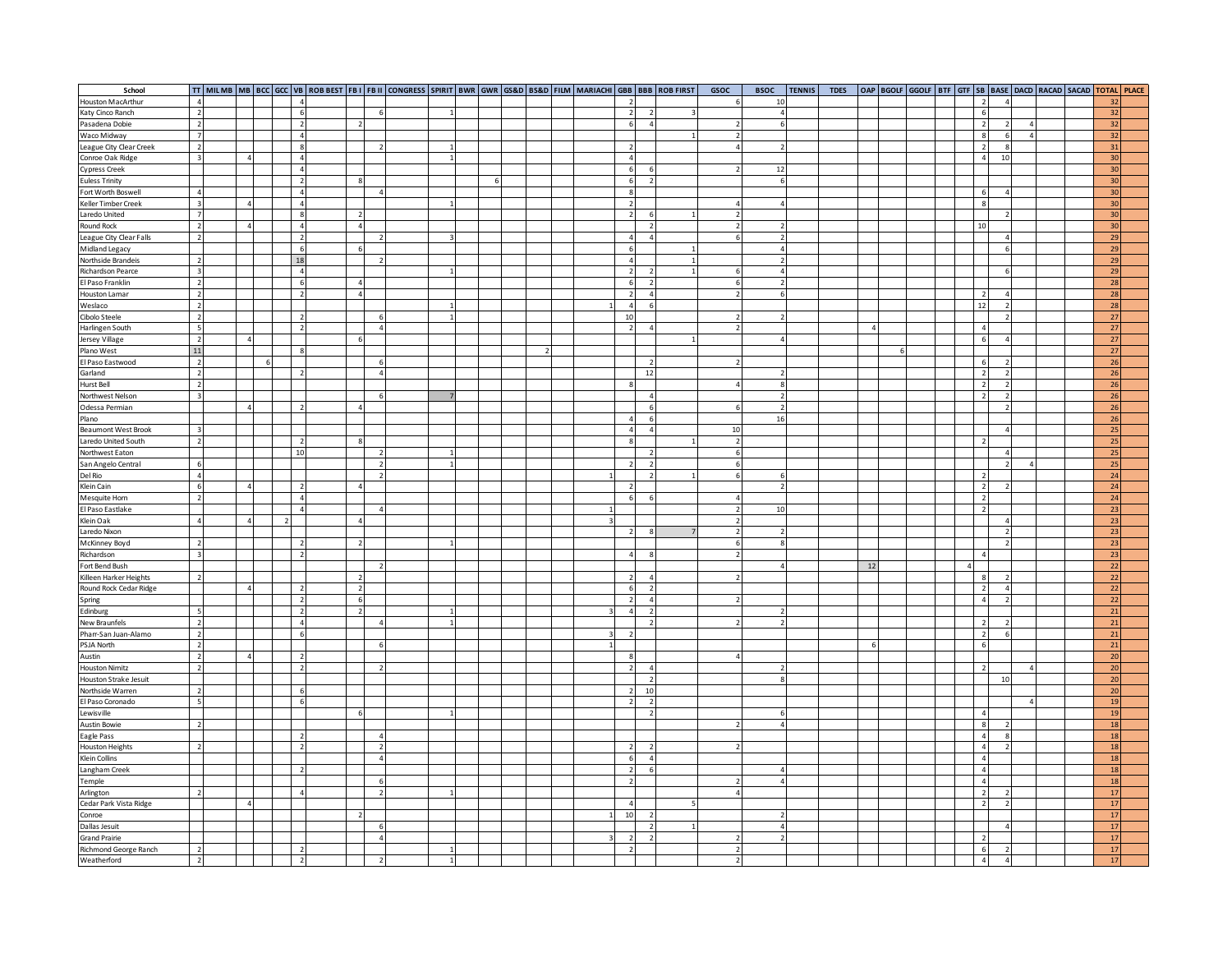| School                               |                          |           |   |                          |                |                |                |                |  |  |                         |                                            | TT   MILMB   MB   BCC   GCC   VB   ROB BEST   FB I   FB II   CONGRESS   SPIRIT   BWR   GVR   GS&D   BS&D   FILM   MARIACHI   GBB   BBB   ROB FIRST | GSOC                     | <b>BSOC</b>              | <b>TENNIS</b> | <b>TDES</b> |    |  |  |                          |           |                |  |          | OAP   BGOLF   GGOLF   BTF   GTF   SB   BASE   DACD   RACAD   SACAD   TOTAL   PLACE |
|--------------------------------------|--------------------------|-----------|---|--------------------------|----------------|----------------|----------------|----------------|--|--|-------------------------|--------------------------------------------|----------------------------------------------------------------------------------------------------------------------------------------------------|--------------------------|--------------------------|---------------|-------------|----|--|--|--------------------------|-----------|----------------|--|----------|------------------------------------------------------------------------------------|
| <b>Houston MacArthur</b>             | $\overline{a}$           |           |   |                          |                |                |                |                |  |  |                         |                                            |                                                                                                                                                    |                          | 10                       |               |             |    |  |  | $\overline{2}$           |           |                |  | 32       |                                                                                    |
| Katy Cinco Ranch                     | $\overline{\phantom{a}}$ |           |   |                          |                |                | -6             |                |  |  |                         | $\overline{2}$<br>$\overline{\phantom{a}}$ |                                                                                                                                                    |                          | $\overline{4}$           |               |             |    |  |  | 6                        |           |                |  | 32       |                                                                                    |
| Pasadena Dobie                       | $\overline{2}$           |           |   | $\overline{\phantom{a}}$ |                | $\overline{2}$ |                |                |  |  |                         | 6<br>$\overline{4}$                        |                                                                                                                                                    | $\overline{2}$           | 6                        |               |             |    |  |  | $\overline{2}$           |           | $\sqrt{4}$     |  | 32       |                                                                                    |
| Waco Midway                          | $\overline{7}$           |           |   |                          | $\overline{4}$ |                |                |                |  |  |                         |                                            |                                                                                                                                                    | 2 <sub>1</sub>           |                          |               |             |    |  |  | 8                        |           | $\overline{4}$ |  | 32       |                                                                                    |
| League City Clear Creek              | $\overline{2}$           |           |   | 8                        |                |                | $\overline{2}$ |                |  |  |                         | $\overline{\phantom{a}}$                   |                                                                                                                                                    | $\overline{4}$           | $\overline{2}$           |               |             |    |  |  | $\overline{2}$           | -8        |                |  | 31       |                                                                                    |
| Conroe Oak Ridge                     | $\overline{\mathbf{3}}$  |           |   |                          |                |                |                | $\mathbf{1}$   |  |  |                         | $\overline{4}$                             |                                                                                                                                                    |                          |                          |               |             |    |  |  | $\overline{4}$           | 10        |                |  | 30       |                                                                                    |
| Cypress Creek                        |                          |           |   |                          |                |                |                |                |  |  |                         | 6                                          |                                                                                                                                                    |                          | 12                       |               |             |    |  |  |                          |           |                |  | 30       |                                                                                    |
| <b>Euless Trinity</b>                |                          |           |   |                          |                |                |                |                |  |  |                         | $\overline{ }$                             |                                                                                                                                                    |                          | 6 <sup>1</sup>           |               |             |    |  |  |                          |           |                |  | 30       |                                                                                    |
| Fort Worth Boswell                   | $\Delta$                 |           |   |                          |                |                | $\overline{a}$ |                |  |  |                         |                                            |                                                                                                                                                    |                          |                          |               |             |    |  |  | 6                        |           |                |  | 30       |                                                                                    |
| Keller Timber Creek                  | $\overline{\mathbf{3}}$  |           |   |                          |                |                |                |                |  |  |                         | $\overline{\phantom{a}}$                   |                                                                                                                                                    | 4                        | Δ                        |               |             |    |  |  | $\overline{8}$           |           |                |  | 30       |                                                                                    |
| Laredo United                        | $\overline{7}$           |           |   |                          |                |                |                |                |  |  |                         | $\overline{\phantom{a}}$                   |                                                                                                                                                    | $\mathcal{P}$            |                          |               |             |    |  |  |                          |           |                |  | 30       |                                                                                    |
| Round Rock                           | $\overline{2}$           |           |   |                          |                |                |                |                |  |  |                         | $\overline{2}$                             |                                                                                                                                                    | 2                        |                          |               |             |    |  |  | 10                       |           |                |  | 30       |                                                                                    |
| League City Clear Falls              | $\overline{2}$           |           |   | $\overline{2}$           |                |                | $\mathcal{P}$  |                |  |  |                         | $\overline{a}$                             |                                                                                                                                                    | $\mathsf{G}$             |                          |               |             |    |  |  |                          |           |                |  | 29       |                                                                                    |
| Midland Legacy                       |                          |           |   | -6                       |                | 6              |                |                |  |  |                         | -6                                         |                                                                                                                                                    |                          | $\Delta$                 |               |             |    |  |  |                          |           |                |  | 29       |                                                                                    |
| Northside Brandeis                   | $\overline{2}$           |           |   | 18                       |                |                | $\overline{2}$ |                |  |  |                         | $\overline{4}$                             |                                                                                                                                                    |                          | $\overline{2}$           |               |             |    |  |  |                          |           |                |  | 29       |                                                                                    |
| Richardson Pearce                    | $\overline{3}$           |           |   |                          | $\overline{4}$ |                |                |                |  |  |                         | $\overline{\phantom{a}}$                   |                                                                                                                                                    | 6                        | $\overline{4}$           |               |             |    |  |  |                          |           |                |  | 29       |                                                                                    |
| El Paso Franklin                     | $\overline{2}$           |           |   | $\epsilon$               |                |                |                |                |  |  |                         | -6<br>$\mathcal{P}$                        |                                                                                                                                                    | $\mathsf{G}$             | $\mathcal{L}$            |               |             |    |  |  |                          |           |                |  | 28       |                                                                                    |
| Houston Lamar                        | $\overline{2}$           |           |   |                          |                |                |                |                |  |  |                         | $\overline{4}$                             |                                                                                                                                                    | $\overline{2}$           | 6                        |               |             |    |  |  |                          |           |                |  | 28       |                                                                                    |
| Weslaco                              | $\overline{2}$           |           |   |                          |                |                |                |                |  |  |                         | 6                                          |                                                                                                                                                    |                          |                          |               |             |    |  |  | 12                       |           |                |  | 28       |                                                                                    |
| Cibolo Steele                        | $\overline{\phantom{a}}$ |           |   |                          |                |                |                |                |  |  |                         | 10                                         |                                                                                                                                                    |                          |                          |               |             |    |  |  |                          |           |                |  | 27       |                                                                                    |
| Harlingen South                      | - 5                      |           |   |                          |                |                | $\overline{a}$ |                |  |  |                         | $\overline{2}$<br>$\Delta$                 |                                                                                                                                                    |                          |                          |               |             |    |  |  | $\overline{4}$           |           |                |  | 27       |                                                                                    |
|                                      | $\overline{2}$           |           |   |                          |                | 6              |                |                |  |  |                         |                                            |                                                                                                                                                    |                          | 4                        |               |             |    |  |  | 6                        |           |                |  | 27       |                                                                                    |
| Jersey Village                       | 11                       |           |   |                          |                |                |                |                |  |  |                         |                                            |                                                                                                                                                    |                          |                          |               |             |    |  |  |                          |           |                |  | 27       |                                                                                    |
| El Paso Eastwood                     | $\overline{2}$           |           | 6 |                          |                |                | 6              |                |  |  |                         |                                            |                                                                                                                                                    |                          |                          |               |             |    |  |  | 6                        |           |                |  | 26       |                                                                                    |
| Garland                              | $\overline{2}$           |           |   |                          |                |                | $\overline{4}$ |                |  |  |                         | 12                                         |                                                                                                                                                    |                          |                          |               |             |    |  |  | $\overline{z}$           |           |                |  | 26       |                                                                                    |
| Hurst Bell                           | $\overline{2}$           |           |   |                          |                |                |                |                |  |  |                         |                                            |                                                                                                                                                    |                          | 8                        |               |             |    |  |  | $\overline{2}$           |           |                |  | 26       |                                                                                    |
| Northwest Nelson                     | $\mathbf{R}$             |           |   |                          |                |                | 6              |                |  |  |                         | $\overline{a}$                             |                                                                                                                                                    |                          | $\overline{2}$           |               |             |    |  |  | $\overline{2}$           |           |                |  | 26       |                                                                                    |
| Odessa Permian                       |                          |           |   |                          |                |                |                |                |  |  |                         | F                                          |                                                                                                                                                    |                          | $\overline{2}$           |               |             |    |  |  |                          |           |                |  | 26       |                                                                                    |
| Plano                                |                          |           |   |                          |                |                |                |                |  |  |                         | 6                                          |                                                                                                                                                    |                          | 16                       |               |             |    |  |  |                          |           |                |  |          |                                                                                    |
|                                      |                          |           |   |                          |                |                |                |                |  |  |                         | $\overline{a}$<br>$\lambda$                |                                                                                                                                                    |                          |                          |               |             |    |  |  |                          |           |                |  | 26       |                                                                                    |
| <b>Beaumont West Brook</b>           |                          |           |   |                          |                |                |                |                |  |  |                         |                                            |                                                                                                                                                    | 10<br>$\overline{2}$     |                          |               |             |    |  |  |                          |           |                |  | 25<br>25 |                                                                                    |
| Laredo United South                  |                          |           |   |                          |                |                |                |                |  |  |                         |                                            |                                                                                                                                                    | 6                        |                          |               |             |    |  |  |                          |           |                |  |          |                                                                                    |
| Northwest Eaton                      | -6                       |           |   | 10                       |                |                |                |                |  |  |                         |                                            |                                                                                                                                                    |                          |                          |               |             |    |  |  |                          |           |                |  | 25       |                                                                                    |
| San Angelo Central                   |                          |           |   |                          |                |                | $\overline{2}$ |                |  |  |                         |                                            |                                                                                                                                                    | 6                        |                          |               |             |    |  |  |                          |           |                |  | 25       |                                                                                    |
| Del Rio<br>Klein Cain                | $\overline{4}$           |           |   |                          |                |                | $\mathcal{P}$  |                |  |  |                         |                                            |                                                                                                                                                    | -6                       |                          |               |             |    |  |  | $\overline{\phantom{a}}$ |           |                |  | 24       |                                                                                    |
|                                      | 6                        | $\Delta$  |   |                          |                |                |                |                |  |  |                         |                                            |                                                                                                                                                    |                          | $\overline{2}$           |               |             |    |  |  | $\overline{2}$           |           |                |  | 24       |                                                                                    |
| Mesquite Horn                        | $\overline{2}$           |           |   |                          |                |                |                |                |  |  |                         | 6                                          |                                                                                                                                                    |                          |                          |               |             |    |  |  | $\overline{2}$           |           |                |  | 24       |                                                                                    |
| El Paso Eastlake                     |                          |           |   |                          |                |                | $\overline{a}$ |                |  |  |                         |                                            |                                                                                                                                                    | $\mathcal{L}$            | 10                       |               |             |    |  |  | $\overline{\phantom{a}}$ |           |                |  | 23       |                                                                                    |
| Klein Oak                            | $\overline{a}$           | $\Lambda$ |   | $\overline{2}$           |                | $\Delta$       |                |                |  |  | $\overline{\mathbf{z}}$ |                                            |                                                                                                                                                    | $\mathcal{L}$            |                          |               |             |    |  |  |                          | $\Lambda$ |                |  | 23       |                                                                                    |
| Laredo Nixon                         |                          |           |   |                          |                |                |                |                |  |  |                         | $\overline{\phantom{a}}$                   |                                                                                                                                                    | $\mathcal{P}$            | $\overline{\phantom{a}}$ |               |             |    |  |  |                          |           |                |  | 23       |                                                                                    |
| McKinney Boyd                        | $\overline{2}$           |           |   |                          |                |                |                |                |  |  |                         |                                            |                                                                                                                                                    | 6                        | 8                        |               |             |    |  |  |                          |           |                |  | 23       |                                                                                    |
| Richardson                           | $\overline{3}$           |           |   | $\overline{\phantom{a}}$ |                |                |                |                |  |  |                         | $\Delta$<br>$\mathbf{\mathcal{R}}$         |                                                                                                                                                    | $\overline{2}$           |                          |               |             |    |  |  | $\Delta$                 |           |                |  | 23       |                                                                                    |
| Fort Bend Bush                       |                          |           |   |                          |                |                |                |                |  |  |                         |                                            |                                                                                                                                                    |                          |                          |               |             | 12 |  |  |                          |           |                |  | 22       |                                                                                    |
| Killeen Harker Heights               |                          |           |   |                          |                |                |                |                |  |  |                         | $\overline{a}$                             |                                                                                                                                                    |                          |                          |               |             |    |  |  | 8                        |           |                |  | 22       |                                                                                    |
| Round Rock Cedar Ridge               |                          |           |   |                          |                | $\overline{ }$ |                |                |  |  |                         | $\overline{ }$<br>$\epsilon$               |                                                                                                                                                    |                          |                          |               |             |    |  |  | $\overline{z}$           |           |                |  | 22       |                                                                                    |
| Spring                               |                          |           |   |                          |                | 6              |                |                |  |  |                         | $\overline{\phantom{a}}$<br>$\overline{a}$ |                                                                                                                                                    |                          |                          |               |             |    |  |  | $\overline{4}$           |           |                |  | 22       |                                                                                    |
| Edinburg                             | $-5$                     |           |   |                          |                | $\overline{2}$ |                |                |  |  |                         | $\Delta$                                   |                                                                                                                                                    |                          |                          |               |             |    |  |  |                          |           |                |  | 21       |                                                                                    |
| New Braunfels                        | $\overline{2}$           |           |   | $\Lambda$                |                |                | $\Delta$       |                |  |  |                         | $\mathcal{D}$                              |                                                                                                                                                    |                          | $\overline{2}$           |               |             |    |  |  | $\overline{2}$           |           |                |  | 21       |                                                                                    |
| Pharr-San Juan-Alamo                 | $\overline{\mathbf{2}}$  |           |   |                          |                |                |                |                |  |  |                         |                                            |                                                                                                                                                    |                          |                          |               |             |    |  |  | $\overline{2}$           | 6         |                |  | 21       |                                                                                    |
| PSJA North                           | $\overline{\phantom{a}}$ |           |   |                          |                |                | -6             |                |  |  |                         |                                            |                                                                                                                                                    |                          |                          |               |             |    |  |  | 6                        |           |                |  | 21       |                                                                                    |
| Austin                               | $\overline{2}$           | $\Lambda$ |   |                          |                |                |                |                |  |  |                         | -8                                         |                                                                                                                                                    |                          |                          |               |             |    |  |  |                          |           |                |  | 20       |                                                                                    |
| <b>Houston Nimitz</b>                | $\overline{2}$           |           |   |                          |                |                | $\overline{2}$ |                |  |  |                         | $\overline{2}$<br>$\overline{4}$           |                                                                                                                                                    |                          | $\overline{2}$           |               |             |    |  |  | $\overline{2}$           |           | $\overline{4}$ |  | 20       |                                                                                    |
| Houston Strake Jesuit                |                          |           |   |                          |                |                |                |                |  |  |                         | -2                                         |                                                                                                                                                    |                          | 8                        |               |             |    |  |  |                          | 10        |                |  | 20       |                                                                                    |
| Northside Warren                     | $\overline{2}$           |           |   |                          |                |                |                |                |  |  |                         | 10<br>$\overline{2}$                       |                                                                                                                                                    |                          |                          |               |             |    |  |  |                          |           |                |  | 20       |                                                                                    |
| El Paso Coronado                     | 5                        |           |   |                          |                |                |                |                |  |  |                         | $\overline{2}$<br>$\overline{2}$           |                                                                                                                                                    |                          |                          |               |             |    |  |  |                          |           |                |  | 19       |                                                                                    |
| Lewisville                           |                          |           |   |                          |                | 6              |                |                |  |  |                         | $\overline{\phantom{0}}$                   |                                                                                                                                                    |                          |                          |               |             |    |  |  | $\Delta$                 |           |                |  | 19       |                                                                                    |
| <b>Austin Bowie</b>                  | $\overline{\phantom{a}}$ |           |   |                          |                |                |                |                |  |  |                         |                                            |                                                                                                                                                    |                          |                          |               |             |    |  |  | $\mathbf{g}$             |           |                |  | 18       |                                                                                    |
| Eagle Pass                           |                          |           |   |                          |                |                | $\overline{4}$ |                |  |  |                         |                                            |                                                                                                                                                    |                          |                          |               |             |    |  |  | $\overline{4}$           |           |                |  | 18       |                                                                                    |
| <b>Houston Heights</b>               | $\overline{2}$           |           |   |                          |                |                | $\overline{2}$ |                |  |  |                         | $\mathcal{D}$                              |                                                                                                                                                    |                          |                          |               |             |    |  |  | $\overline{4}$           |           |                |  | 18       |                                                                                    |
| Klein Collins                        |                          |           |   |                          |                |                | $\overline{a}$ |                |  |  |                         | $\overline{a}$<br>6                        |                                                                                                                                                    |                          |                          |               |             |    |  |  | $\overline{4}$           |           |                |  | 18       |                                                                                    |
| Langham Creek                        |                          |           |   |                          |                |                |                |                |  |  |                         | 6                                          |                                                                                                                                                    |                          |                          |               |             |    |  |  | $\Delta$                 |           |                |  | 18       |                                                                                    |
| Temple                               |                          |           |   |                          |                |                | -6             |                |  |  |                         |                                            |                                                                                                                                                    |                          |                          |               |             |    |  |  | $\Delta$                 |           |                |  | 18       |                                                                                    |
| Arlington                            | $\overline{\phantom{a}}$ |           |   |                          |                |                | $\overline{2}$ |                |  |  |                         |                                            |                                                                                                                                                    |                          |                          |               |             |    |  |  | $\overline{2}$           |           |                |  | $17$     |                                                                                    |
| Cedar Park Vista Ridge               |                          |           |   |                          |                |                |                |                |  |  |                         |                                            |                                                                                                                                                    |                          |                          |               |             |    |  |  | $\overline{2}$           |           |                |  | 17       |                                                                                    |
| Conroe                               |                          |           |   |                          |                |                |                |                |  |  |                         | 10                                         |                                                                                                                                                    |                          |                          |               |             |    |  |  |                          |           |                |  | $17$     |                                                                                    |
| Dallas Jesuit                        |                          |           |   |                          |                |                | -6             |                |  |  |                         | $\overline{2}$                             |                                                                                                                                                    |                          | $\overline{4}$           |               |             |    |  |  |                          |           |                |  | 17       |                                                                                    |
| <b>Grand Prairie</b>                 |                          |           |   |                          |                |                | $\overline{4}$ |                |  |  |                         | $\overline{\phantom{a}}$                   |                                                                                                                                                    | $\overline{\phantom{a}}$ | $\overline{\phantom{a}}$ |               |             |    |  |  |                          |           |                |  | 17       |                                                                                    |
|                                      | $\overline{\phantom{a}}$ |           |   |                          |                |                |                |                |  |  |                         |                                            |                                                                                                                                                    |                          |                          |               |             |    |  |  | 6                        |           |                |  | 17       |                                                                                    |
| Richmond George Ranch<br>Weatherford | $\overline{2}$           |           |   | $\overline{2}$           |                |                | $\overline{2}$ | $\overline{1}$ |  |  |                         |                                            |                                                                                                                                                    | $\mathcal{P}$            |                          |               |             |    |  |  | $\Delta$                 |           |                |  | 17       |                                                                                    |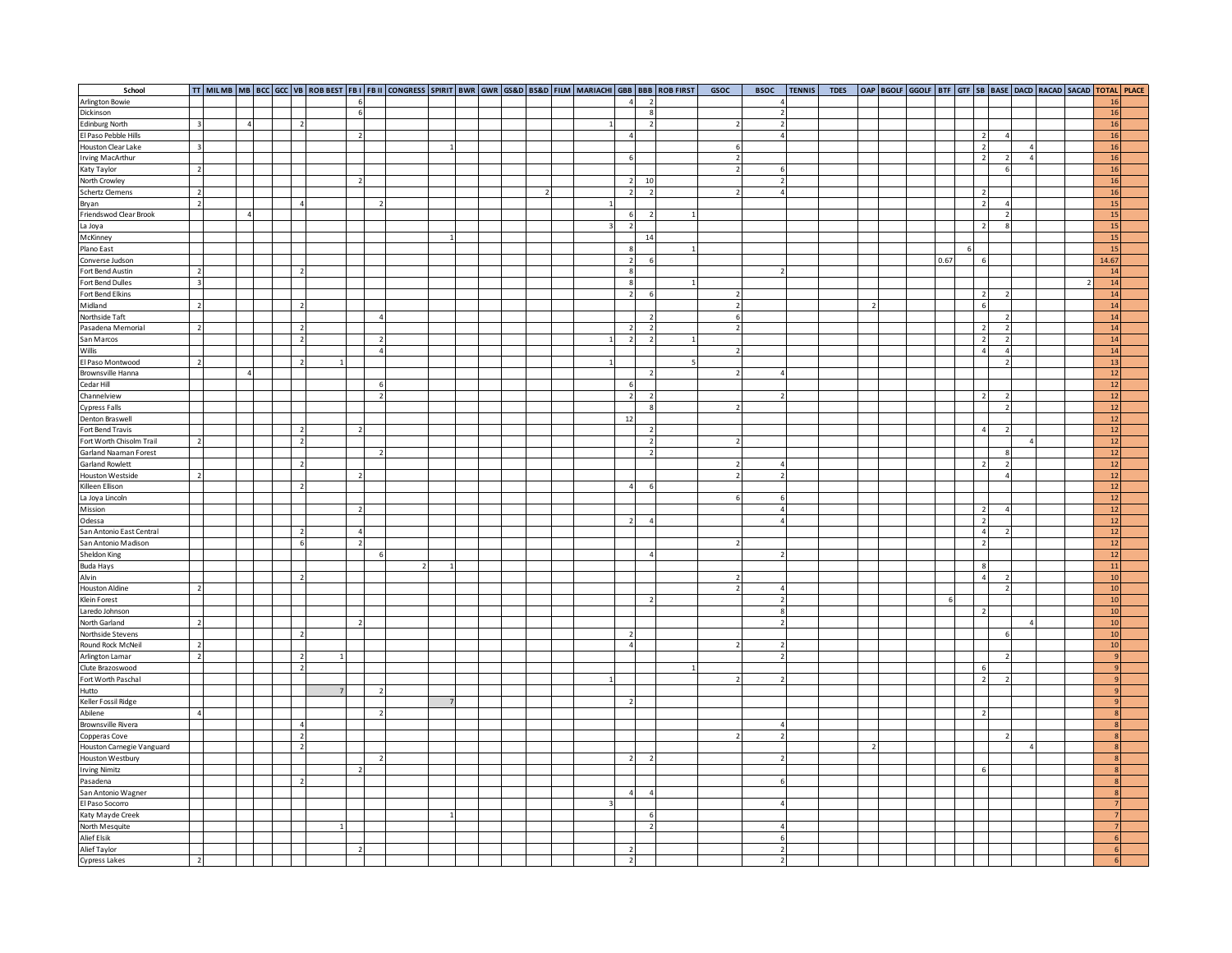| School                                        |                          |          |  |                          |                          |                          |  |  |  |              |                                  | TT   MILMB   MB   BCC   GCC   VB   ROB BEST   FB I   FB II   CONGRESS   SPIRIT   BWR   GWR   GS&D   BS&D   FILM   MARIACHI   GBB   BBB   ROB FIRST | <b>GSOC</b>    | <b>BSOC</b>              | <b>TENNIS</b> | <b>TDES</b> |   |  |      |   |                          | OAP   BGOLF   GGOLF   BTF   GTF   SB   BASE   DACD   RACAD   SACAD   TOTAL   PLACE |                |  |
|-----------------------------------------------|--------------------------|----------|--|--------------------------|--------------------------|--------------------------|--|--|--|--------------|----------------------------------|----------------------------------------------------------------------------------------------------------------------------------------------------|----------------|--------------------------|---------------|-------------|---|--|------|---|--------------------------|------------------------------------------------------------------------------------|----------------|--|
| Arlington Bowie                               |                          |          |  |                          | 6                        |                          |  |  |  |              | $\overline{2}$                   |                                                                                                                                                    |                |                          |               |             |   |  |      |   |                          |                                                                                    | 16             |  |
| Dickinson                                     |                          |          |  |                          | 6                        |                          |  |  |  |              | $\mathbf{R}$                     |                                                                                                                                                    |                | $\overline{2}$           |               |             |   |  |      |   |                          |                                                                                    | 16             |  |
| <b>Edinburg North</b>                         | $\overline{\mathbf{3}}$  |          |  |                          |                          |                          |  |  |  |              | $\overline{2}$                   |                                                                                                                                                    |                | $\overline{2}$           |               |             |   |  |      |   |                          |                                                                                    | 16             |  |
| El Paso Pebble Hills                          |                          |          |  |                          | $\overline{2}$           |                          |  |  |  |              |                                  |                                                                                                                                                    |                | $\overline{4}$           |               |             |   |  |      |   | $\overline{2}$           |                                                                                    | 16             |  |
| Houston Clear Lake                            | $\overline{\mathbf{3}}$  |          |  |                          |                          |                          |  |  |  |              |                                  |                                                                                                                                                    | -6             |                          |               |             |   |  |      |   | $\overline{2}$           | $\overline{4}$                                                                     | 16             |  |
| Irving MacArthur                              |                          |          |  |                          |                          |                          |  |  |  |              | 6                                |                                                                                                                                                    | $\overline{2}$ |                          |               |             |   |  |      |   | $\overline{2}$           | $\overline{4}$                                                                     | 16             |  |
| Katy Taylor                                   | $\overline{2}$           |          |  |                          |                          |                          |  |  |  |              |                                  |                                                                                                                                                    | $\mathcal{P}$  |                          |               |             |   |  |      |   |                          |                                                                                    | 16             |  |
| North Crowley                                 |                          |          |  |                          |                          |                          |  |  |  |              | 10                               |                                                                                                                                                    |                | $\overline{\phantom{a}}$ |               |             |   |  |      |   |                          |                                                                                    | 16             |  |
| <b>Schertz Clemens</b>                        | $\overline{\phantom{a}}$ |          |  |                          |                          |                          |  |  |  |              | $\mathcal{L}$<br>$\mathcal{D}$   |                                                                                                                                                    |                | $\sqrt{4}$               |               |             |   |  |      |   | $\overline{2}$           |                                                                                    | 16             |  |
| Bryan                                         | $\overline{z}$           |          |  |                          |                          | $\overline{\phantom{a}}$ |  |  |  |              |                                  |                                                                                                                                                    |                |                          |               |             |   |  |      |   | $\overline{z}$           |                                                                                    | 15             |  |
| Friendswod Clear Brook                        |                          | $\Delta$ |  |                          |                          |                          |  |  |  |              |                                  |                                                                                                                                                    |                |                          |               |             |   |  |      |   |                          |                                                                                    | 15             |  |
| La Joya                                       |                          |          |  |                          |                          |                          |  |  |  |              |                                  |                                                                                                                                                    |                |                          |               |             |   |  |      |   |                          |                                                                                    | 15             |  |
| McKinney                                      |                          |          |  |                          |                          |                          |  |  |  |              | 14                               |                                                                                                                                                    |                |                          |               |             |   |  |      |   |                          |                                                                                    | 15             |  |
| Plano East                                    |                          |          |  |                          |                          |                          |  |  |  |              | -8                               |                                                                                                                                                    |                |                          |               |             |   |  |      | 6 |                          |                                                                                    | <sup>15</sup>  |  |
| Converse Judson                               |                          |          |  |                          |                          |                          |  |  |  |              | $\overline{2}$<br>6              |                                                                                                                                                    |                |                          |               |             |   |  | 0.67 |   | 6                        |                                                                                    | 14.67          |  |
| Fort Bend Austin                              | $\overline{2}$           |          |  |                          |                          |                          |  |  |  |              | 8                                |                                                                                                                                                    |                | 2                        |               |             |   |  |      |   |                          |                                                                                    | 14             |  |
| Fort Bend Dulles                              | $\overline{3}$           |          |  |                          |                          |                          |  |  |  |              | $\mathbf{R}$                     |                                                                                                                                                    |                |                          |               |             |   |  |      |   |                          |                                                                                    | 14             |  |
| Fort Bend Elkins                              |                          |          |  |                          |                          |                          |  |  |  |              | $\overline{\phantom{a}}$<br>6    |                                                                                                                                                    | $\mathcal{D}$  |                          |               |             |   |  |      |   | $\overline{\mathbf{c}}$  |                                                                                    | 14             |  |
| Midland                                       |                          |          |  |                          |                          |                          |  |  |  |              |                                  |                                                                                                                                                    | $\overline{2}$ |                          |               |             |   |  |      |   |                          |                                                                                    | 14             |  |
| Northside Taft                                |                          |          |  |                          |                          |                          |  |  |  |              |                                  |                                                                                                                                                    | $\overline{6}$ |                          |               |             |   |  |      |   |                          |                                                                                    | 14             |  |
| Pasadena Memorial                             |                          |          |  |                          |                          |                          |  |  |  |              |                                  |                                                                                                                                                    | $\mathcal{P}$  |                          |               |             |   |  |      |   | $\overline{2}$           |                                                                                    | 14             |  |
| San Marcos                                    |                          |          |  |                          |                          | $\mathcal{P}$            |  |  |  | $\mathbf{1}$ | $\overline{2}$<br>$\overline{2}$ |                                                                                                                                                    |                |                          |               |             |   |  |      |   | $\overline{z}$           |                                                                                    | 14             |  |
| Willis                                        |                          |          |  |                          |                          | $\overline{4}$           |  |  |  |              |                                  |                                                                                                                                                    |                |                          |               |             |   |  |      |   | $\overline{4}$           |                                                                                    | 14             |  |
| El Paso Montwood                              | $\overline{2}$           |          |  |                          |                          |                          |  |  |  |              |                                  |                                                                                                                                                    |                |                          |               |             |   |  |      |   |                          |                                                                                    | 13             |  |
| Brownsville Hanna                             |                          |          |  |                          |                          |                          |  |  |  |              | $\overline{2}$                   |                                                                                                                                                    |                |                          |               |             |   |  |      |   |                          |                                                                                    | 12             |  |
| Cedar Hill                                    |                          |          |  |                          |                          | -6                       |  |  |  |              | -6                               |                                                                                                                                                    |                |                          |               |             |   |  |      |   |                          |                                                                                    | <b>12</b>      |  |
| Channelview                                   |                          |          |  |                          |                          | $\overline{2}$           |  |  |  |              | $\overline{2}$<br>$\overline{2}$ |                                                                                                                                                    |                |                          |               |             |   |  |      |   | $\overline{z}$           |                                                                                    | 12             |  |
| <b>Cypress Falls</b>                          |                          |          |  |                          |                          |                          |  |  |  |              | $\overline{8}$                   |                                                                                                                                                    |                |                          |               |             |   |  |      |   |                          |                                                                                    | 12             |  |
| Denton Braswell                               |                          |          |  |                          |                          |                          |  |  |  |              | 12                               |                                                                                                                                                    |                |                          |               |             |   |  |      |   |                          |                                                                                    | $12\,$         |  |
| Fort Bend Travis                              |                          |          |  |                          |                          |                          |  |  |  |              | $\overline{\phantom{a}}$         |                                                                                                                                                    |                |                          |               |             |   |  |      |   | $\overline{A}$           |                                                                                    | 12             |  |
| Fort Worth Chisolm Trail                      |                          |          |  |                          |                          |                          |  |  |  |              | $\overline{2}$                   |                                                                                                                                                    |                |                          |               |             |   |  |      |   |                          | $\overline{A}$                                                                     | 12             |  |
| Garland Naaman Forest<br>Garland Rowlett      |                          |          |  |                          |                          |                          |  |  |  |              | $\overline{2}$                   |                                                                                                                                                    |                |                          |               |             |   |  |      |   |                          |                                                                                    | 12             |  |
|                                               |                          |          |  |                          |                          |                          |  |  |  |              |                                  |                                                                                                                                                    |                |                          |               |             |   |  |      |   | $\overline{2}$           |                                                                                    | 12             |  |
| Houston Westside<br>Killeen Ellison           |                          |          |  |                          |                          |                          |  |  |  |              |                                  |                                                                                                                                                    |                |                          |               |             |   |  |      |   |                          |                                                                                    | 12             |  |
|                                               |                          |          |  |                          |                          |                          |  |  |  |              | $\epsilon$<br>$\overline{a}$     |                                                                                                                                                    |                |                          |               |             |   |  |      |   |                          |                                                                                    | 12             |  |
| La Joya Lincoln                               |                          |          |  |                          |                          |                          |  |  |  |              |                                  |                                                                                                                                                    |                | 6                        |               |             |   |  |      |   |                          |                                                                                    | 12             |  |
| Mission                                       |                          |          |  |                          |                          |                          |  |  |  |              |                                  |                                                                                                                                                    |                | $\overline{\mathbf{4}}$  |               |             |   |  |      |   | $\overline{\phantom{a}}$ |                                                                                    | <b>12</b>      |  |
| Odessa                                        |                          |          |  |                          |                          |                          |  |  |  |              | $\overline{a}$<br>$\overline{2}$ |                                                                                                                                                    |                | $\Delta$                 |               |             |   |  |      |   | $\overline{\mathbf{2}}$  |                                                                                    | <b>12</b>      |  |
| San Antonio East Central                      |                          |          |  |                          | $\overline{4}$           |                          |  |  |  |              |                                  |                                                                                                                                                    |                |                          |               |             |   |  |      |   | $\overline{4}$           |                                                                                    | 12             |  |
| San Antonio Madison                           |                          |          |  |                          | $\overline{\phantom{a}}$ |                          |  |  |  |              |                                  |                                                                                                                                                    |                |                          |               |             |   |  |      |   | $\overline{2}$           |                                                                                    | 12             |  |
| Sheldon King                                  |                          |          |  |                          |                          | -6                       |  |  |  |              | $\Delta$                         |                                                                                                                                                    |                | $\mathcal{P}$            |               |             |   |  |      |   |                          |                                                                                    | 12             |  |
| <b>Buda Hays</b>                              |                          |          |  |                          |                          |                          |  |  |  |              |                                  |                                                                                                                                                    |                |                          |               |             |   |  |      |   | $\mathbf{8}$             |                                                                                    | 11             |  |
| Alvin                                         |                          |          |  |                          |                          |                          |  |  |  |              |                                  |                                                                                                                                                    |                |                          |               |             |   |  |      |   | $\Delta$                 |                                                                                    | 10             |  |
| <b>Houston Aldine</b>                         | $\overline{\phantom{a}}$ |          |  |                          |                          |                          |  |  |  |              |                                  |                                                                                                                                                    |                |                          |               |             |   |  |      |   |                          |                                                                                    | 10             |  |
| Klein Forest                                  |                          |          |  |                          |                          |                          |  |  |  |              |                                  |                                                                                                                                                    |                | $\overline{2}$           |               |             |   |  |      |   |                          |                                                                                    | 10             |  |
| Laredo Johnson                                |                          |          |  |                          |                          |                          |  |  |  |              |                                  |                                                                                                                                                    |                | 8                        |               |             |   |  |      |   | $\mathfrak{p}$           |                                                                                    | 10             |  |
| North Garland                                 | $\overline{2}$           |          |  |                          |                          |                          |  |  |  |              |                                  |                                                                                                                                                    |                | $\overline{2}$           |               |             |   |  |      |   |                          | $\overline{A}$                                                                     | 10             |  |
| Northside Stevens                             |                          |          |  |                          |                          |                          |  |  |  |              |                                  |                                                                                                                                                    |                |                          |               |             |   |  |      |   |                          |                                                                                    | 10             |  |
|                                               | $\overline{2}$           |          |  |                          |                          |                          |  |  |  |              |                                  |                                                                                                                                                    |                |                          |               |             |   |  |      |   |                          |                                                                                    | 10             |  |
| Round Rock McNeil<br>Arlington Lamar          | $\overline{2}$           |          |  | $\overline{\phantom{a}}$ |                          |                          |  |  |  |              |                                  |                                                                                                                                                    |                |                          |               |             |   |  |      |   |                          |                                                                                    | $\alpha$       |  |
| Clute Brazoswood                              |                          |          |  | $\overline{z}$           |                          |                          |  |  |  |              |                                  |                                                                                                                                                    |                |                          |               |             |   |  |      |   | 6                        |                                                                                    |                |  |
| Fort Worth Paschal                            |                          |          |  |                          |                          |                          |  |  |  |              |                                  |                                                                                                                                                    |                |                          |               |             |   |  |      |   | $\overline{2}$           |                                                                                    | $\overline{q}$ |  |
| Hutto                                         |                          |          |  |                          |                          |                          |  |  |  |              |                                  |                                                                                                                                                    |                |                          |               |             |   |  |      |   |                          |                                                                                    | $\mathbf{q}$   |  |
| Keller Fossil Ridge                           |                          |          |  |                          |                          |                          |  |  |  |              |                                  |                                                                                                                                                    |                |                          |               |             |   |  |      |   |                          |                                                                                    | $\mathbf{q}$   |  |
| Abilene                                       | $\Delta$                 |          |  |                          |                          |                          |  |  |  |              |                                  |                                                                                                                                                    |                |                          |               |             |   |  |      |   | $\mathcal{L}$            |                                                                                    | $\overline{8}$ |  |
| Brownsville Rivera                            |                          |          |  |                          |                          |                          |  |  |  |              |                                  |                                                                                                                                                    |                |                          |               |             |   |  |      |   |                          |                                                                                    | $\Omega$       |  |
| Copperas Cove                                 |                          |          |  |                          |                          |                          |  |  |  |              |                                  |                                                                                                                                                    |                | $\overline{2}$           |               |             |   |  |      |   |                          |                                                                                    |                |  |
| Houston Carnegie Vanguard<br>Houston Westbury |                          |          |  | $\overline{2}$           |                          |                          |  |  |  |              |                                  |                                                                                                                                                    |                |                          |               |             | 2 |  |      |   |                          | $\overline{4}$                                                                     |                |  |
|                                               |                          |          |  |                          |                          |                          |  |  |  |              | 2                                |                                                                                                                                                    |                |                          |               |             |   |  |      |   |                          |                                                                                    |                |  |
| <b>Irving Nimitz</b>                          |                          |          |  |                          |                          |                          |  |  |  |              |                                  |                                                                                                                                                    |                |                          |               |             |   |  |      |   |                          |                                                                                    | $\mathbf{R}$   |  |
| Pasadena<br>San Antonio Wagner                |                          |          |  |                          |                          |                          |  |  |  |              |                                  |                                                                                                                                                    |                |                          |               |             |   |  |      |   |                          |                                                                                    | $\mathbf{R}$   |  |
|                                               |                          |          |  |                          |                          |                          |  |  |  |              | $\lambda$<br>$\Delta$            |                                                                                                                                                    |                |                          |               |             |   |  |      |   |                          |                                                                                    | $\Omega$       |  |
| El Paso Socorro                               |                          |          |  |                          |                          |                          |  |  |  |              |                                  |                                                                                                                                                    |                |                          |               |             |   |  |      |   |                          |                                                                                    |                |  |
| Katy Mayde Creek<br>North Mesquite            |                          |          |  |                          |                          |                          |  |  |  |              | 6                                |                                                                                                                                                    |                |                          |               |             |   |  |      |   |                          |                                                                                    |                |  |
|                                               |                          |          |  |                          |                          |                          |  |  |  |              | 2                                |                                                                                                                                                    |                | $\overline{4}$           |               |             |   |  |      |   |                          |                                                                                    |                |  |
| <b>Alief Elsik</b>                            |                          |          |  |                          |                          |                          |  |  |  |              |                                  |                                                                                                                                                    |                | 6                        |               |             |   |  |      |   |                          |                                                                                    | 6              |  |
| Alief Taylor<br>Cypress Lakes                 |                          |          |  |                          |                          |                          |  |  |  |              |                                  |                                                                                                                                                    |                |                          |               |             |   |  |      |   |                          |                                                                                    |                |  |
|                                               | $\overline{\phantom{a}}$ |          |  |                          |                          |                          |  |  |  |              | $\overline{\phantom{a}}$         |                                                                                                                                                    |                | $\mathcal{L}$            |               |             |   |  |      |   |                          |                                                                                    |                |  |